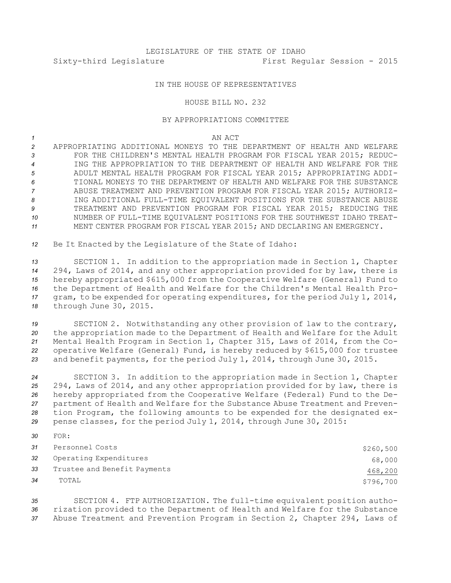## IN THE HOUSE OF REPRESENTATIVES

## HOUSE BILL NO. 232

## BY APPROPRIATIONS COMMITTEE

*1* AN ACT

 APPROPRIATING ADDITIONAL MONEYS TO THE DEPARTMENT OF HEALTH AND WELFARE FOR THE CHILDREN'S MENTAL HEALTH PROGRAM FOR FISCAL YEAR 2015; REDUC- ING THE APPROPRIATION TO THE DEPARTMENT OF HEALTH AND WELFARE FOR THE ADULT MENTAL HEALTH PROGRAM FOR FISCAL YEAR 2015; APPROPRIATING ADDI- TIONAL MONEYS TO THE DEPARTMENT OF HEALTH AND WELFARE FOR THE SUBSTANCE ABUSE TREATMENT AND PREVENTION PROGRAM FOR FISCAL YEAR 2015; AUTHORIZ- ING ADDITIONAL FULL-TIME EQUIVALENT POSITIONS FOR THE SUBSTANCE ABUSE TREATMENT AND PREVENTION PROGRAM FOR FISCAL YEAR 2015; REDUCING THE NUMBER OF FULL-TIME EQUIVALENT POSITIONS FOR THE SOUTHWEST IDAHO TREAT-MENT CENTER PROGRAM FOR FISCAL YEAR 2015; AND DECLARING AN EMERGENCY.

*<sup>12</sup>* Be It Enacted by the Legislature of the State of Idaho:

 SECTION 1. In addition to the appropriation made in Section 1, Chapter 294, Laws of 2014, and any other appropriation provided for by law, there is hereby appropriated \$615,000 from the Cooperative Welfare (General) Fund to the Department of Health and Welfare for the Children's Mental Health Pro- gram, to be expended for operating expenditures, for the period July 1, 2014, through June 30, 2015.

 SECTION 2. Notwithstanding any other provision of law to the contrary, the appropriation made to the Department of Health and Welfare for the Adult Mental Health Program in Section 1, Chapter 315, Laws of 2014, from the Co- operative Welfare (General) Fund, is hereby reduced by \$615,000 for trustee and benefit payments, for the period July 1, 2014, through June 30, 2015.

 SECTION 3. In addition to the appropriation made in Section 1, Chapter 294, Laws of 2014, and any other appropriation provided for by law, there is hereby appropriated from the Cooperative Welfare (Federal) Fund to the De- partment of Health and Welfare for the Substance Abuse Treatment and Preven- tion Program, the following amounts to be expended for the designated ex-pense classes, for the period July 1, 2014, through June 30, 2015:

*30* FOR:

| 31 | Personnel Costs                 | \$260,500 |
|----|---------------------------------|-----------|
|    | 32 Operating Expenditures       | 68,000    |
|    | 33 Trustee and Benefit Payments | 468,200   |
| 34 | TOTAL                           | \$796,700 |

*<sup>35</sup>* SECTION 4. FTP AUTHORIZATION. The full-time equivalent position autho-*<sup>36</sup>* rization provided to the Department of Health and Welfare for the Substance *<sup>37</sup>* Abuse Treatment and Prevention Program in Section 2, Chapter 294, Laws of